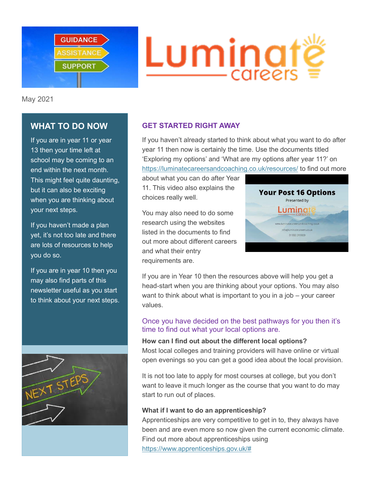

# Luming — careers

May 2021

# **WHAT TO DO NOW**

If you are in year 11 or year 13 then your time left at school may be coming to an end within the next month. This might feel quite daunting, but it can also be exciting when you are thinking about your next steps.

If you haven't made a plan yet, it's not too late and there are lots of resources to help you do so.

If you are in year 10 then you may also find parts of this newsletter useful as you start to think about your next steps.



## **GET STARTED RIGHT AWAY**

If you haven't already started to think about what you want to do after year 11 then now is certainly the time. Use the documents titled 'Exploring my options' and 'What are my options after year 11?' on <https://luminatecareersandcoaching.co.uk/resources/> to find out more

about what you can do after Year 11. This video also explains the choices really well.

You may also need to do some research using the websites listed in the documents to find out more about different careers and what their entry requirements are.



If you are in Year 10 then the resources above will help you get a head-start when you are thinking about your options. You may also want to think about what is important to you in a job – your career values.

## Once you have decided on the best pathways for you then it's time to find out what your local options are.

#### **How can I find out about the different local options?**

Most local colleges and training providers will have online or virtual open evenings so you can get a good idea about the local provision.

It is not too late to apply for most courses at college, but you don't want to leave it much longer as the course that you want to do may start to run out of places.

#### **What if I want to do an apprenticeship?**

Apprenticeships are very competitive to get in to, they always have been and are even more so now given the current economic climate. Find out more about apprenticeships using [https://www.apprenticeships.gov.uk/#](https://www.apprenticeships.gov.uk/)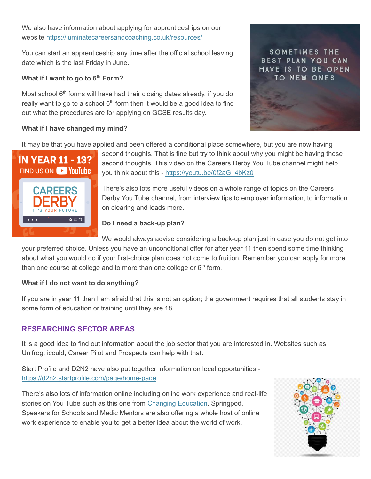We also have information about applying for apprenticeships on our website<https://luminatecareersandcoaching.co.uk/resources/>

You can start an apprenticeship any time after the official school leaving date which is the last Friday in June.

#### **What if I want to go to 6th Form?**

Most school 6<sup>th</sup> forms will have had their closing dates already, if you do really want to go to a school  $6<sup>th</sup>$  form then it would be a good idea to find out what the procedures are for applying on GCSE results day.

#### **What if I have changed my mind?**

It may be that you have applied and been offered a conditional place somewhere, but you are now having



second thoughts. That is fine but try to think about why you might be having those second thoughts. This video on the Careers Derby You Tube channel might help you think about this - [https://youtu.be/0f2aG\\_4bKz0](https://youtu.be/0f2aG_4bKz0)

There's also lots more useful videos on a whole range of topics on the Careers Derby You Tube channel, from interview tips to employer information, to information on clearing and loads more.

#### **Do I need a back-up plan?**

We would always advise considering a back-up plan just in case you do not get into your preferred choice. Unless you have an unconditional offer for after year 11 then spend some time thinking about what you would do if your first-choice plan does not come to fruition. Remember you can apply for more than one course at college and to more than one college or  $6<sup>th</sup>$  form.

#### **What if I do not want to do anything?**

If you are in year 11 then I am afraid that this is not an option; the government requires that all students stay in some form of education or training until they are 18.

## **RESEARCHING SECTOR AREAS**

It is a good idea to find out information about the job sector that you are interested in. Websites such as Unifrog, icould, Career Pilot and Prospects can help with that.

Start Profile and D2N2 have also put together information on local opportunities <https://d2n2.startprofile.com/page/home-page>

There's also lots of information online including online work experience and real-life stories on You Tube such as this one from [Changing Education.](https://www.youtube.com/watch?v=_J9pTBi19HI&list=PLTO-tXNNGLzQXEaVpgPjYIN7n3a4IiniB&index=2&t=0s) Springpod, Speakers for Schools and Medic Mentors are also offering a whole host of online work experience to enable you to get a better idea about the world of work.



SOMETIMES THE BEST PLAN YOU CAN HAVE IS TO BE OPEN TO NEW ONES